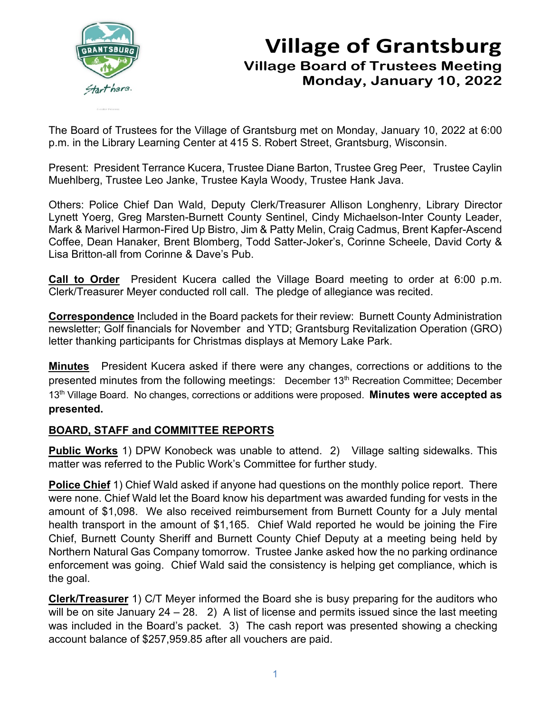

# **Village of Grantsburg Village Board of Trustees Meeting Monday, January 10, 2022**

The Board of Trustees for the Village of Grantsburg met on Monday, January 10, 2022 at 6:00 p.m. in the Library Learning Center at 415 S. Robert Street, Grantsburg, Wisconsin.

Present: President Terrance Kucera, Trustee Diane Barton, Trustee Greg Peer, Trustee Caylin Muehlberg, Trustee Leo Janke, Trustee Kayla Woody, Trustee Hank Java.

Others: Police Chief Dan Wald, Deputy Clerk/Treasurer Allison Longhenry, Library Director Lynett Yoerg, Greg Marsten-Burnett County Sentinel, Cindy Michaelson-Inter County Leader, Mark & Marivel Harmon-Fired Up Bistro, Jim & Patty Melin, Craig Cadmus, Brent Kapfer-Ascend Coffee, Dean Hanaker, Brent Blomberg, Todd Satter-Joker's, Corinne Scheele, David Corty & Lisa Britton-all from Corinne & Dave's Pub.

**Call to Order** President Kucera called the Village Board meeting to order at 6:00 p.m. Clerk/Treasurer Meyer conducted roll call. The pledge of allegiance was recited.

**Correspondence** Included in the Board packets for their review: Burnett County Administration newsletter; Golf financials for November and YTD; Grantsburg Revitalization Operation (GRO) letter thanking participants for Christmas displays at Memory Lake Park.

**Minutes** President Kucera asked if there were any changes, corrections or additions to the presented minutes from the following meetings: December 13<sup>th</sup> Recreation Committee; December 13th Village Board. No changes, corrections or additions were proposed. **Minutes were accepted as presented.**

### **BOARD, STAFF and COMMITTEE REPORTS**

**Public Works** 1) DPW Konobeck was unable to attend. 2) Village salting sidewalks. This matter was referred to the Public Work's Committee for further study.

**Police Chief** 1) Chief Wald asked if anyone had questions on the monthly police report. There were none. Chief Wald let the Board know his department was awarded funding for vests in the amount of \$1,098. We also received reimbursement from Burnett County for a July mental health transport in the amount of \$1,165. Chief Wald reported he would be joining the Fire Chief, Burnett County Sheriff and Burnett County Chief Deputy at a meeting being held by Northern Natural Gas Company tomorrow. Trustee Janke asked how the no parking ordinance enforcement was going. Chief Wald said the consistency is helping get compliance, which is the goal.

**Clerk/Treasurer** 1) C/T Meyer informed the Board she is busy preparing for the auditors who will be on site January 24 – 28. 2) A list of license and permits issued since the last meeting was included in the Board's packet. 3) The cash report was presented showing a checking account balance of \$257,959.85 after all vouchers are paid.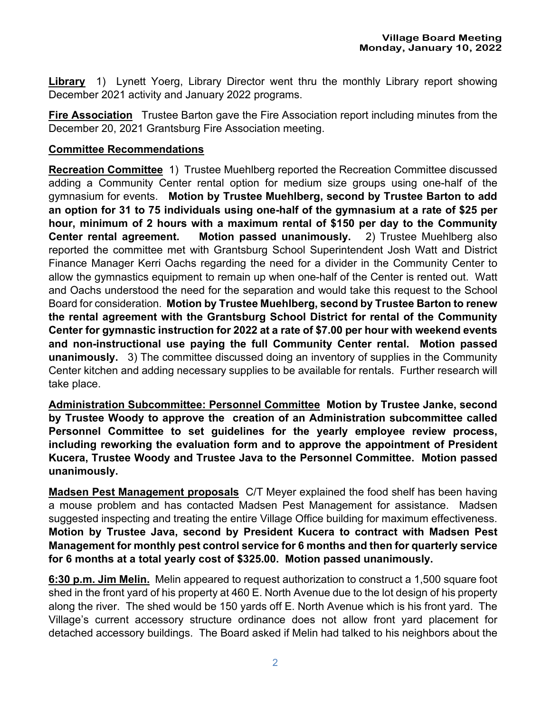**Library** 1) Lynett Yoerg, Library Director went thru the monthly Library report showing December 2021 activity and January 2022 programs.

**Fire Association** Trustee Barton gave the Fire Association report including minutes from the December 20, 2021 Grantsburg Fire Association meeting.

#### **Committee Recommendations**

**Recreation Committee** 1) Trustee Muehlberg reported the Recreation Committee discussed adding a Community Center rental option for medium size groups using one-half of the gymnasium for events. **Motion by Trustee Muehlberg, second by Trustee Barton to add an option for 31 to 75 individuals using one-half of the gymnasium at a rate of \$25 per hour, minimum of 2 hours with a maximum rental of \$150 per day to the Community Center rental agreement. Motion passed unanimously.** 2) Trustee Muehlberg also reported the committee met with Grantsburg School Superintendent Josh Watt and District Finance Manager Kerri Oachs regarding the need for a divider in the Community Center to allow the gymnastics equipment to remain up when one-half of the Center is rented out. Watt and Oachs understood the need for the separation and would take this request to the School Board for consideration. **Motion by Trustee Muehlberg, second by Trustee Barton to renew the rental agreement with the Grantsburg School District for rental of the Community Center for gymnastic instruction for 2022 at a rate of \$7.00 per hour with weekend events and non-instructional use paying the full Community Center rental. Motion passed unanimously.** 3) The committee discussed doing an inventory of supplies in the Community Center kitchen and adding necessary supplies to be available for rentals. Further research will take place.

**Administration Subcommittee: Personnel Committee Motion by Trustee Janke, second by Trustee Woody to approve the creation of an Administration subcommittee called Personnel Committee to set guidelines for the yearly employee review process, including reworking the evaluation form and to approve the appointment of President Kucera, Trustee Woody and Trustee Java to the Personnel Committee. Motion passed unanimously.**

**Madsen Pest Management proposals** C/T Meyer explained the food shelf has been having a mouse problem and has contacted Madsen Pest Management for assistance. Madsen suggested inspecting and treating the entire Village Office building for maximum effectiveness. **Motion by Trustee Java, second by President Kucera to contract with Madsen Pest Management for monthly pest control service for 6 months and then for quarterly service for 6 months at a total yearly cost of \$325.00. Motion passed unanimously.** 

**6:30 p.m. Jim Melin.** Melin appeared to request authorization to construct a 1,500 square foot shed in the front yard of his property at 460 E. North Avenue due to the lot design of his property along the river. The shed would be 150 yards off E. North Avenue which is his front yard. The Village's current accessory structure ordinance does not allow front yard placement for detached accessory buildings. The Board asked if Melin had talked to his neighbors about the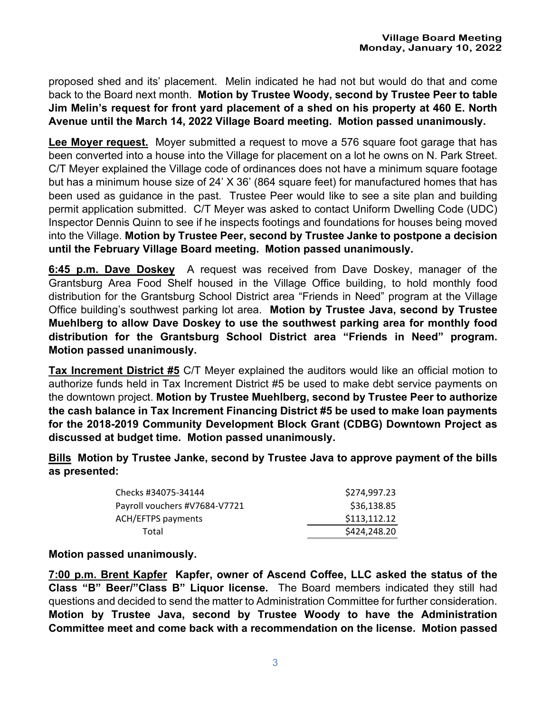proposed shed and its' placement. Melin indicated he had not but would do that and come back to the Board next month. **Motion by Trustee Woody, second by Trustee Peer to table Jim Melin's request for front yard placement of a shed on his property at 460 E. North Avenue until the March 14, 2022 Village Board meeting. Motion passed unanimously.**

**Lee Moyer request.** Moyer submitted a request to move a 576 square foot garage that has been converted into a house into the Village for placement on a lot he owns on N. Park Street. C/T Meyer explained the Village code of ordinances does not have a minimum square footage but has a minimum house size of 24' X 36' (864 square feet) for manufactured homes that has been used as guidance in the past. Trustee Peer would like to see a site plan and building permit application submitted. C/T Meyer was asked to contact Uniform Dwelling Code (UDC) Inspector Dennis Quinn to see if he inspects footings and foundations for houses being moved into the Village. **Motion by Trustee Peer, second by Trustee Janke to postpone a decision until the February Village Board meeting. Motion passed unanimously.**

**6:45 p.m. Dave Doskey** A request was received from Dave Doskey, manager of the Grantsburg Area Food Shelf housed in the Village Office building, to hold monthly food distribution for the Grantsburg School District area "Friends in Need" program at the Village Office building's southwest parking lot area. **Motion by Trustee Java, second by Trustee Muehlberg to allow Dave Doskey to use the southwest parking area for monthly food distribution for the Grantsburg School District area "Friends in Need" program. Motion passed unanimously.**

**Tax Increment District #5** C/T Meyer explained the auditors would like an official motion to authorize funds held in Tax Increment District #5 be used to make debt service payments on the downtown project. **Motion by Trustee Muehlberg, second by Trustee Peer to authorize the cash balance in Tax Increment Financing District #5 be used to make loan payments for the 2018-2019 Community Development Block Grant (CDBG) Downtown Project as discussed at budget time. Motion passed unanimously.**

**Bills Motion by Trustee Janke, second by Trustee Java to approve payment of the bills as presented:** 

| Checks #34075-34144           | \$274,997.23 |
|-------------------------------|--------------|
| Payroll vouchers #V7684-V7721 | \$36,138.85  |
| <b>ACH/EFTPS payments</b>     | \$113,112.12 |
| Total                         | \$424,248.20 |
|                               |              |

#### **Motion passed unanimously.**

**7:00 p.m. Brent Kapfer Kapfer, owner of Ascend Coffee, LLC asked the status of the Class "B" Beer/"Class B" Liquor license.** The Board members indicated they still had questions and decided to send the matter to Administration Committee for further consideration. **Motion by Trustee Java, second by Trustee Woody to have the Administration Committee meet and come back with a recommendation on the license. Motion passed**